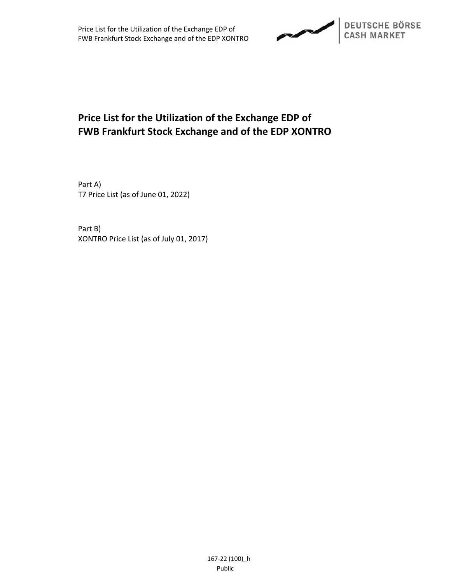

# **Price List for the Utilization of the Exchange EDP of FWB Frankfurt Stock Exchange and of the EDP XONTRO**

Part A) T7 Price List (as of June 01, 2022)

Part B) XONTRO Price List (as of July 01, 2017)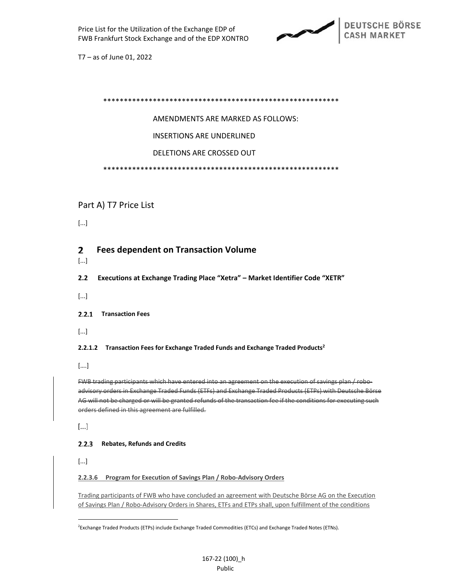

 $T7 - as of June 01, 2022$ 

### **AMENDMENTS ARE MARKED AS FOLLOWS:**

**INSERTIONS ARE UNDERLINED** 

DELETIONS ARE CROSSED OUT

## Part A) T7 Price List

 $[...]$ 

#### $\mathbf{2}$ **Fees dependent on Transaction Volume**

 $[...]$ 

 $2.2<sub>2</sub>$ Executions at Exchange Trading Place "Xetra" - Market Identifier Code "XETR"

 $[...]$ 

#### 2.2.1 Transaction Fees

 $[...]$ 

#### 2.2.1.2 Transaction Fees for Exchange Traded Funds and Exchange Traded Products<sup>2</sup>

 $[\dots]$ 

FWB trading participants which have entered into an agreement on the execution of savings plan / roboadvisory orders in Exchange Traded Funds (ETFs) and Exchange Traded Products (ETPs) with Deutsche Börse AG will not be charged or will be granted refunds of the transaction fee if the conditions for executing such orders defined in this agreement are fulfilled.

 $[\dots]$ 

#### 2.2.3 Rebates, Refunds and Credits

 $[...]$ 

#### 2.2.3.6 Program for Execution of Savings Plan / Robo-Advisory Orders

Trading participants of FWB who have concluded an agreement with Deutsche Börse AG on the Execution of Savings Plan / Robo-Advisory Orders in Shares, ETFs and ETPs shall, upon fulfillment of the conditions

<sup>&</sup>lt;sup>2</sup>Exchange Traded Products (ETPs) include Exchange Traded Commodities (ETCs) and Exchange Traded Notes (ETNs).